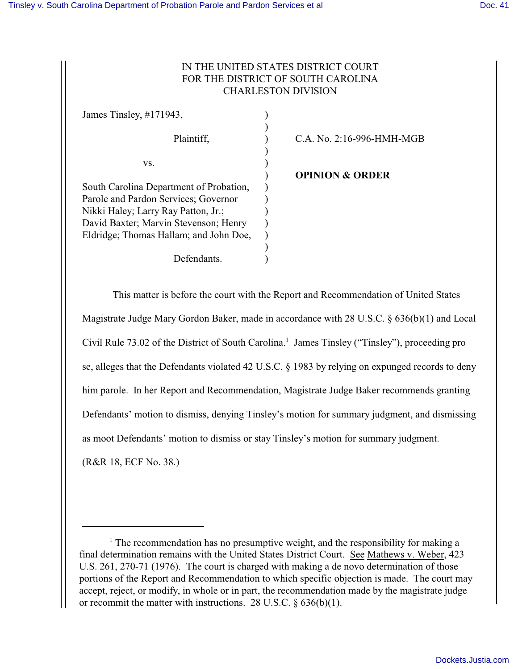# IN THE UNITED STATES DISTRICT COURT FOR THE DISTRICT OF SOUTH CAROLINA CHARLESTON DIVISION

| James Tinsley, #171943,                 |                            |
|-----------------------------------------|----------------------------|
| Plaintiff,                              | C.A. No. 2:16-996-HMH-MGB  |
| VS.                                     |                            |
|                                         | <b>OPINION &amp; ORDER</b> |
| South Carolina Department of Probation, |                            |
| Parole and Pardon Services; Governor    |                            |
| Nikki Haley; Larry Ray Patton, Jr.;     |                            |
| David Baxter; Marvin Stevenson; Henry   |                            |
| Eldridge; Thomas Hallam; and John Doe,  |                            |
|                                         |                            |
| Defendants.                             |                            |

This matter is before the court with the Report and Recommendation of United States Magistrate Judge Mary Gordon Baker, made in accordance with 28 U.S.C. § 636(b)(1) and Local Civil Rule 73.02 of the District of South Carolina.<sup>1</sup> James Tinsley ("Tinsley"), proceeding pro se, alleges that the Defendants violated 42 U.S.C. § 1983 by relying on expunged records to deny him parole. In her Report and Recommendation, Magistrate Judge Baker recommends granting Defendants' motion to dismiss, denying Tinsley's motion for summary judgment, and dismissing as moot Defendants' motion to dismiss or stay Tinsley's motion for summary judgment. (R&R 18, ECF No. 38.)

<sup>&</sup>lt;sup>1</sup> The recommendation has no presumptive weight, and the responsibility for making a final determination remains with the United States District Court. See Mathews v. Weber, 423 U.S. 261, 270-71 (1976). The court is charged with making a de novo determination of those portions of the Report and Recommendation to which specific objection is made. The court may accept, reject, or modify, in whole or in part, the recommendation made by the magistrate judge or recommit the matter with instructions. 28 U.S.C.  $\S 636(b)(1)$ .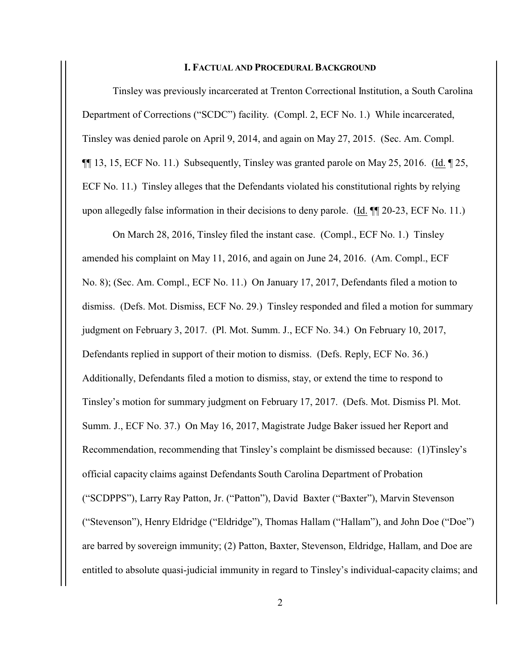#### **I. FACTUAL AND PROCEDURAL BACKGROUND**

Tinsley was previously incarcerated at Trenton Correctional Institution, a South Carolina Department of Corrections ("SCDC") facility. (Compl. 2, ECF No. 1.) While incarcerated, Tinsley was denied parole on April 9, 2014, and again on May 27, 2015. (Sec. Am. Compl.  $\P\P$  13, 15, ECF No. 11.) Subsequently, Tinsley was granted parole on May 25, 2016. (Id.  $\P$  25, ECF No. 11.) Tinsley alleges that the Defendants violated his constitutional rights by relying upon allegedly false information in their decisions to deny parole. (Id. ¶¶ 20-23, ECF No. 11.)

On March 28, 2016, Tinsley filed the instant case. (Compl., ECF No. 1.) Tinsley amended his complaint on May 11, 2016, and again on June 24, 2016. (Am. Compl., ECF No. 8); (Sec. Am. Compl., ECF No. 11.) On January 17, 2017, Defendants filed a motion to dismiss. (Defs. Mot. Dismiss, ECF No. 29.) Tinsley responded and filed a motion for summary judgment on February 3, 2017. (Pl. Mot. Summ. J., ECF No. 34.) On February 10, 2017, Defendants replied in support of their motion to dismiss. (Defs. Reply, ECF No. 36.) Additionally, Defendants filed a motion to dismiss, stay, or extend the time to respond to Tinsley's motion for summary judgment on February 17, 2017. (Defs. Mot. Dismiss Pl. Mot. Summ. J., ECF No. 37.) On May 16, 2017, Magistrate Judge Baker issued her Report and Recommendation, recommending that Tinsley's complaint be dismissed because: (1)Tinsley's official capacity claims against Defendants South Carolina Department of Probation ("SCDPPS"), Larry Ray Patton, Jr. ("Patton"), David Baxter ("Baxter"), Marvin Stevenson ("Stevenson"), Henry Eldridge ("Eldridge"), Thomas Hallam ("Hallam"), and John Doe ("Doe") are barred by sovereign immunity; (2) Patton, Baxter, Stevenson, Eldridge, Hallam, and Doe are entitled to absolute quasi-judicial immunity in regard to Tinsley's individual-capacity claims; and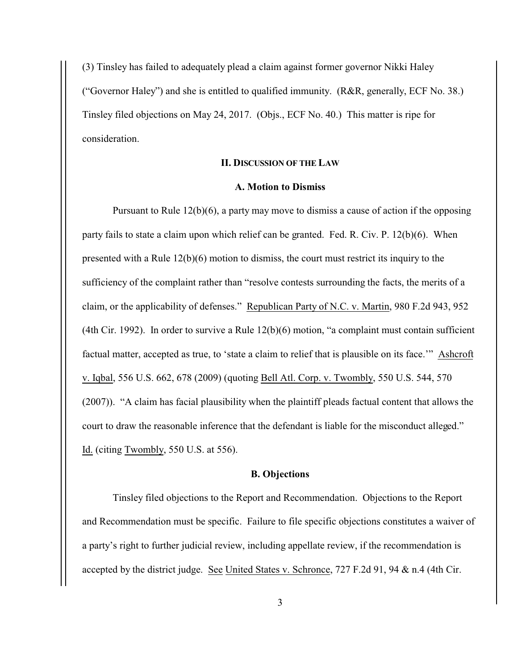(3) Tinsley has failed to adequately plead a claim against former governor Nikki Haley ("Governor Haley") and she is entitled to qualified immunity. (R&R, generally, ECF No. 38.) Tinsley filed objections on May 24, 2017. (Objs., ECF No. 40.) This matter is ripe for consideration.

#### **II. DISCUSSION OF THE LAW**

### **A. Motion to Dismiss**

Pursuant to Rule 12(b)(6), a party may move to dismiss a cause of action if the opposing party fails to state a claim upon which relief can be granted. Fed. R. Civ. P. 12(b)(6). When presented with a Rule 12(b)(6) motion to dismiss, the court must restrict its inquiry to the sufficiency of the complaint rather than "resolve contests surrounding the facts, the merits of a claim, or the applicability of defenses." Republican Party of N.C. v. Martin, 980 F.2d 943, 952 (4th Cir. 1992). In order to survive a Rule 12(b)(6) motion, "a complaint must contain sufficient factual matter, accepted as true, to 'state a claim to relief that is plausible on its face.'" Ashcroft v. Iqbal, 556 U.S. 662, 678 (2009) (quoting Bell Atl. Corp. v. Twombly, 550 U.S. 544, 570 (2007)). "A claim has facial plausibility when the plaintiff pleads factual content that allows the court to draw the reasonable inference that the defendant is liable for the misconduct alleged." Id. (citing Twombly, 550 U.S. at 556).

## **B. Objections**

Tinsley filed objections to the Report and Recommendation. Objections to the Report and Recommendation must be specific. Failure to file specific objections constitutes a waiver of a party's right to further judicial review, including appellate review, if the recommendation is accepted by the district judge. See United States v. Schronce, 727 F.2d 91, 94 & n.4 (4th Cir.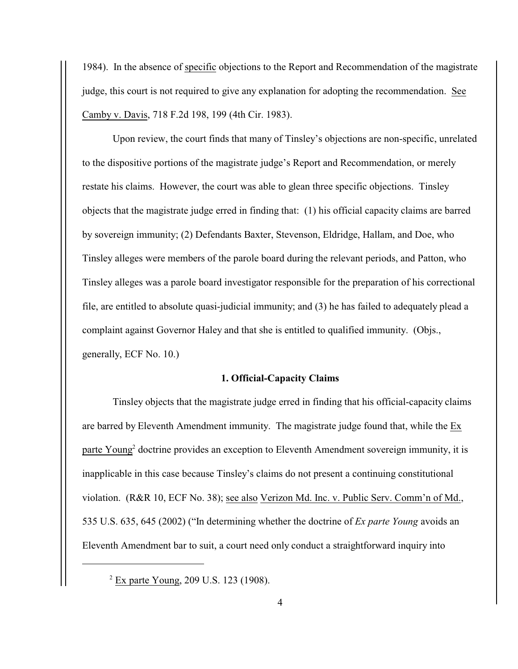1984). In the absence of specific objections to the Report and Recommendation of the magistrate judge, this court is not required to give any explanation for adopting the recommendation. See Camby v. Davis, 718 F.2d 198, 199 (4th Cir. 1983).

Upon review, the court finds that many of Tinsley's objections are non-specific, unrelated to the dispositive portions of the magistrate judge's Report and Recommendation, or merely restate his claims. However, the court was able to glean three specific objections. Tinsley objects that the magistrate judge erred in finding that: (1) his official capacity claims are barred by sovereign immunity; (2) Defendants Baxter, Stevenson, Eldridge, Hallam, and Doe, who Tinsley alleges were members of the parole board during the relevant periods, and Patton, who Tinsley alleges was a parole board investigator responsible for the preparation of his correctional file, are entitled to absolute quasi-judicial immunity; and (3) he has failed to adequately plead a complaint against Governor Haley and that she is entitled to qualified immunity. (Objs., generally, ECF No. 10.)

## **1. Official-Capacity Claims**

Tinsley objects that the magistrate judge erred in finding that his official-capacity claims are barred by Eleventh Amendment immunity. The magistrate judge found that, while the Ex parte Young<sup>2</sup> doctrine provides an exception to Eleventh Amendment sovereign immunity, it is inapplicable in this case because Tinsley's claims do not present a continuing constitutional violation. (R&R 10, ECF No. 38); see also Verizon Md. Inc. v. Public Serv. Comm'n of Md., 535 U.S. 635, 645 (2002) ("In determining whether the doctrine of *Ex parte Young* avoids an Eleventh Amendment bar to suit, a court need only conduct a straightforward inquiry into

<sup>&</sup>lt;sup>2</sup> Ex parte Young, 209 U.S. 123 (1908).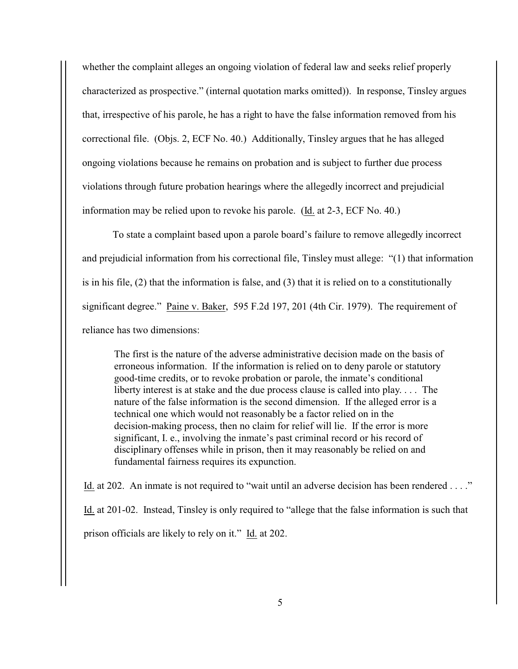whether the complaint alleges an ongoing violation of federal law and seeks relief properly characterized as prospective." (internal quotation marks omitted)). In response, Tinsley argues that, irrespective of his parole, he has a right to have the false information removed from his correctional file. (Objs. 2, ECF No. 40.) Additionally, Tinsley argues that he has alleged ongoing violations because he remains on probation and is subject to further due process violations through future probation hearings where the allegedly incorrect and prejudicial information may be relied upon to revoke his parole. (Id. at 2-3, ECF No. 40.)

To state a complaint based upon a parole board's failure to remove allegedly incorrect and prejudicial information from his correctional file, Tinsley must allege: "(1) that information is in his file, (2) that the information is false, and (3) that it is relied on to a constitutionally significant degree." Paine v. Baker, 595 F.2d 197, 201 (4th Cir. 1979). The requirement of reliance has two dimensions:

The first is the nature of the adverse administrative decision made on the basis of erroneous information. If the information is relied on to deny parole or statutory good-time credits, or to revoke probation or parole, the inmate's conditional liberty interest is at stake and the due process clause is called into play. . . . The nature of the false information is the second dimension. If the alleged error is a technical one which would not reasonably be a factor relied on in the decision-making process, then no claim for relief will lie. If the error is more significant, I. e., involving the inmate's past criminal record or his record of disciplinary offenses while in prison, then it may reasonably be relied on and fundamental fairness requires its expunction.

Id. at 202. An inmate is not required to "wait until an adverse decision has been rendered . . . ." Id. at 201-02. Instead, Tinsley is only required to "allege that the false information is such that prison officials are likely to rely on it." Id. at 202.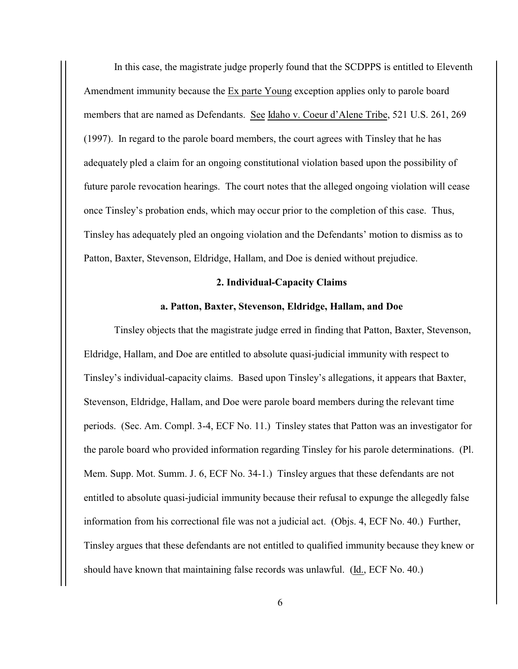In this case, the magistrate judge properly found that the SCDPPS is entitled to Eleventh Amendment immunity because the Ex parte Young exception applies only to parole board members that are named as Defendants. See Idaho v. Coeur d'Alene Tribe, 521 U.S. 261, 269 (1997). In regard to the parole board members, the court agrees with Tinsley that he has adequately pled a claim for an ongoing constitutional violation based upon the possibility of future parole revocation hearings. The court notes that the alleged ongoing violation will cease once Tinsley's probation ends, which may occur prior to the completion of this case. Thus, Tinsley has adequately pled an ongoing violation and the Defendants' motion to dismiss as to Patton, Baxter, Stevenson, Eldridge, Hallam, and Doe is denied without prejudice.

## **2. Individual-Capacity Claims**

## **a. Patton, Baxter, Stevenson, Eldridge, Hallam, and Doe**

Tinsley objects that the magistrate judge erred in finding that Patton, Baxter, Stevenson, Eldridge, Hallam, and Doe are entitled to absolute quasi-judicial immunity with respect to Tinsley's individual-capacity claims. Based upon Tinsley's allegations, it appears that Baxter, Stevenson, Eldridge, Hallam, and Doe were parole board members during the relevant time periods. (Sec. Am. Compl. 3-4, ECF No. 11.) Tinsley states that Patton was an investigator for the parole board who provided information regarding Tinsley for his parole determinations. (Pl. Mem. Supp. Mot. Summ. J. 6, ECF No. 34-1.) Tinsley argues that these defendants are not entitled to absolute quasi-judicial immunity because their refusal to expunge the allegedly false information from his correctional file was not a judicial act. (Objs. 4, ECF No. 40.) Further, Tinsley argues that these defendants are not entitled to qualified immunity because they knew or should have known that maintaining false records was unlawful. (Id., ECF No. 40.)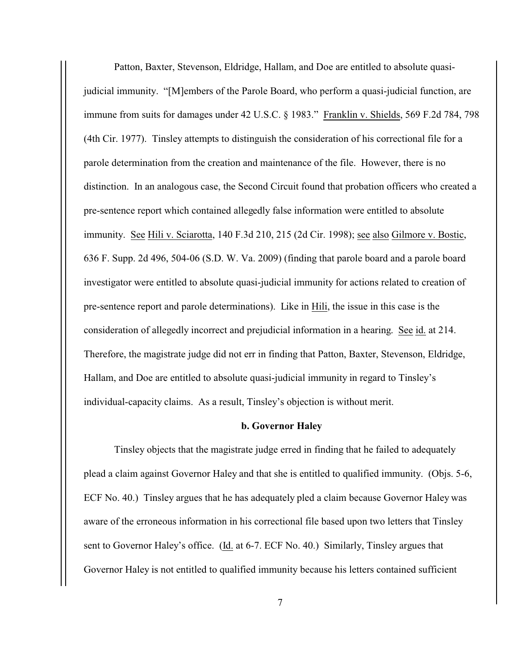Patton, Baxter, Stevenson, Eldridge, Hallam, and Doe are entitled to absolute quasijudicial immunity. "[M]embers of the Parole Board, who perform a quasi-judicial function, are immune from suits for damages under 42 U.S.C. § 1983." Franklin v. Shields, 569 F.2d 784, 798 (4th Cir. 1977). Tinsley attempts to distinguish the consideration of his correctional file for a parole determination from the creation and maintenance of the file. However, there is no distinction. In an analogous case, the Second Circuit found that probation officers who created a pre-sentence report which contained allegedly false information were entitled to absolute immunity. See Hili v. Sciarotta, 140 F.3d 210, 215 (2d Cir. 1998); see also Gilmore v. Bostic, 636 F. Supp. 2d 496, 504-06 (S.D. W. Va. 2009) (finding that parole board and a parole board investigator were entitled to absolute quasi-judicial immunity for actions related to creation of pre-sentence report and parole determinations). Like in Hili, the issue in this case is the consideration of allegedly incorrect and prejudicial information in a hearing. See id. at 214. Therefore, the magistrate judge did not err in finding that Patton, Baxter, Stevenson, Eldridge, Hallam, and Doe are entitled to absolute quasi-judicial immunity in regard to Tinsley's individual-capacity claims. As a result, Tinsley's objection is without merit.

#### **b. Governor Haley**

Tinsley objects that the magistrate judge erred in finding that he failed to adequately plead a claim against Governor Haley and that she is entitled to qualified immunity. (Objs. 5-6, ECF No. 40.) Tinsley argues that he has adequately pled a claim because Governor Haley was aware of the erroneous information in his correctional file based upon two letters that Tinsley sent to Governor Haley's office. (Id. at 6-7. ECF No. 40.) Similarly, Tinsley argues that Governor Haley is not entitled to qualified immunity because his letters contained sufficient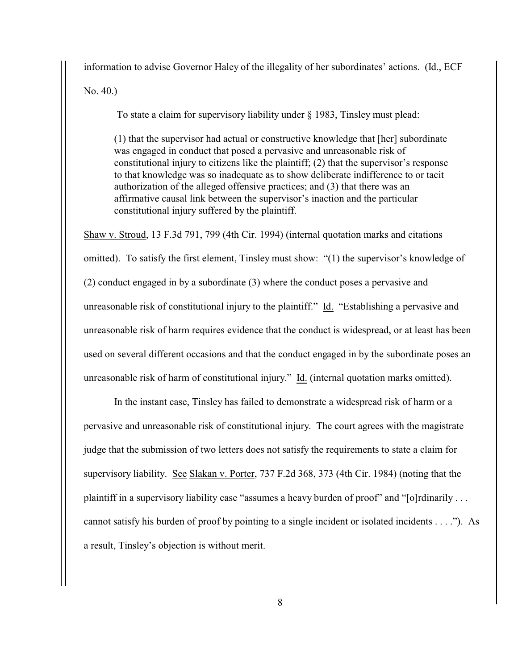information to advise Governor Haley of the illegality of her subordinates' actions. (Id., ECF No. 40.)

To state a claim for supervisory liability under § 1983, Tinsley must plead:

(1) that the supervisor had actual or constructive knowledge that [her] subordinate was engaged in conduct that posed a pervasive and unreasonable risk of constitutional injury to citizens like the plaintiff; (2) that the supervisor's response to that knowledge was so inadequate as to show deliberate indifference to or tacit authorization of the alleged offensive practices; and (3) that there was an affirmative causal link between the supervisor's inaction and the particular constitutional injury suffered by the plaintiff.

Shaw v. Stroud, 13 F.3d 791, 799 (4th Cir. 1994) (internal quotation marks and citations omitted). To satisfy the first element, Tinsley must show: "(1) the supervisor's knowledge of (2) conduct engaged in by a subordinate (3) where the conduct poses a pervasive and unreasonable risk of constitutional injury to the plaintiff." Id. "Establishing a pervasive and unreasonable risk of harm requires evidence that the conduct is widespread, or at least has been used on several different occasions and that the conduct engaged in by the subordinate poses an unreasonable risk of harm of constitutional injury." Id. (internal quotation marks omitted).

In the instant case, Tinsley has failed to demonstrate a widespread risk of harm or a pervasive and unreasonable risk of constitutional injury. The court agrees with the magistrate judge that the submission of two letters does not satisfy the requirements to state a claim for supervisory liability. See Slakan v. Porter, 737 F.2d 368, 373 (4th Cir. 1984) (noting that the plaintiff in a supervisory liability case "assumes a heavy burden of proof" and "[o]rdinarily . . . cannot satisfy his burden of proof by pointing to a single incident or isolated incidents  $\dots$ ."). As a result, Tinsley's objection is without merit.